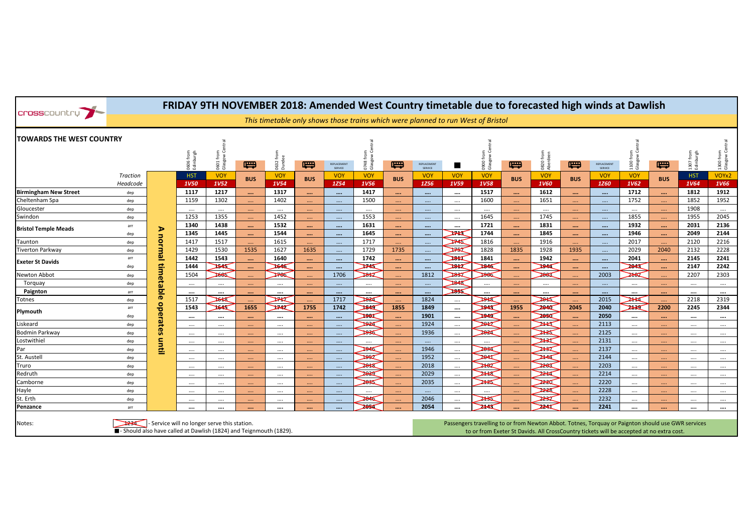| <b>Cross</b> country                                                                                                     |                      |                                                                                  |                        |                        |            |                       |            |                        | FRIDAY 9TH NOVEMBER 2018: Amended West Country timetable due to forecasted high winds at Dawlish |                                                                                                                                                                                                |                        |                       |                       |            |                       |            |                        |                      |            |                        |                        |
|--------------------------------------------------------------------------------------------------------------------------|----------------------|----------------------------------------------------------------------------------|------------------------|------------------------|------------|-----------------------|------------|------------------------|--------------------------------------------------------------------------------------------------|------------------------------------------------------------------------------------------------------------------------------------------------------------------------------------------------|------------------------|-----------------------|-----------------------|------------|-----------------------|------------|------------------------|----------------------|------------|------------------------|------------------------|
|                                                                                                                          |                      | This timetable only shows those trains which were planned to run West of Bristol |                        |                        |            |                       |            |                        |                                                                                                  |                                                                                                                                                                                                |                        |                       |                       |            |                       |            |                        |                      |            |                        |                        |
| <b>TOWARDS THE WEST COUNTRY</b>                                                                                          |                      |                                                                                  |                        |                        |            |                       |            |                        |                                                                                                  |                                                                                                                                                                                                |                        |                       | $\frac{1}{2}$         |            |                       |            |                        |                      |            |                        |                        |
|                                                                                                                          |                      |                                                                                  | 0606 from<br>Edinburgh | 0601 from<br>Glasgow ( | 嘌          | 0632 t                | 导          | REPLACEMENT<br>SERVICE | 0748 from<br>Glasgow C                                                                           | 导                                                                                                                                                                                              | REPLACEMENT<br>SERVICE |                       | 0900 fro<br>Glasgov   | 导          | 0820 fr<br>Aberde     | 导          | REPLACEMENT<br>SERVICE | 1100 fron<br>Glasgow | 导          | 1307 from<br>Edinburgh | 1300 from<br>Glasgow C |
|                                                                                                                          | Traction<br>Headcode |                                                                                  | <b>HST</b><br>1V50     | <b>VOY</b><br>1V52     | <b>BUS</b> | <b>VOY</b><br>1V54    | <b>BUS</b> | <b>VOY</b><br>1Z54     | <b>VOY</b><br>1V56                                                                               | <b>BUS</b>                                                                                                                                                                                     | <b>VOY</b><br>1Z56     | <b>VOY</b><br>1V59    | <b>VOY</b><br>1V58    | <b>BUS</b> | <b>VOY</b><br>1V60    | <b>BUS</b> | <b>VOY</b><br>1Z60     | <b>VOY</b><br>1V62   | <b>BUS</b> | <b>HST</b><br>1V64     | VOYx2<br>1V66          |
| <b>Birmingham New Street</b>                                                                                             | dep                  |                                                                                  | 1117                   | 1217                   |            | 1317                  | $\cdots$   | $\cdots$               | 1417                                                                                             | $\cdots$                                                                                                                                                                                       | $\cdots$               | $\cdots$              | 1517                  | $\cdots$   | 1612                  |            | $\cdots$               | 1712                 | $\cdots$   | 1812                   | 1912                   |
| Cheltenham Spa                                                                                                           | dep                  |                                                                                  | 1159                   | 1302                   | $\ldots$ . | 1402                  | $\cdots$   | $\cdots$               | 1500                                                                                             | $\cdots$                                                                                                                                                                                       | $\cdots$               | $\cdots$              | 1600                  | $\ldots$ . | 1651                  | $\cdots$ . | $\dots$ .              | 1752                 | $\cdots$   | 1852                   | 1952                   |
| Gloucester                                                                                                               | dep                  |                                                                                  | $\cdots$               | $\cdots$               | $\cdots$   | $\cdots$              | $\cdots$   | $\sim$                 | $\cdots$                                                                                         | $\cdots$                                                                                                                                                                                       | $\ldots$ .             | $\cdots$              | $\cdots$              | $\ldots$   | $\cdots$              | $\sim$     | $\sim$                 | $\cdots$             | $\sim$     | 1908                   | $\cdots$               |
| Swindon                                                                                                                  | dep                  |                                                                                  | 1253                   | 1355                   |            | 1452                  | $\cdots$   | $\cdots$               | 1553                                                                                             | $\cdots$                                                                                                                                                                                       | $\cdots$               | $\cdots$              | 1645                  | $\sim$     | 1745                  |            | $\cdots$               | 1855                 | $\cdots$   | 1955                   | 2045                   |
| <b>Bristol Temple Meads</b>                                                                                              | arr                  |                                                                                  | 1340                   | 1438                   | $\cdots$   | 1532                  | $\cdots$   |                        | 1631                                                                                             | $\cdots$                                                                                                                                                                                       |                        | $\cdots$              | 1721                  | $\cdots$   | 1831                  | $\cdots$   |                        | 1932                 | $\cdots$   | 2031                   | 2136                   |
|                                                                                                                          | dep                  | ⋗                                                                                | 1345                   | 1445                   | $\cdots$   | 1544                  | $\cdots$   | $\cdots$               | 1645                                                                                             | $\cdots$                                                                                                                                                                                       | $\cdots$               | $\blacktriangleright$ | 1744                  | $\cdots$   | 1845                  | $\cdots$   | $\cdots$               | 1946                 | $\cdots$   | 2049                   | 2144                   |
| Taunton                                                                                                                  | dep                  | normal                                                                           | 1417                   | 1517                   | $\cdots$   | 1615                  | $\cdots$   | $\cdots$               | 1717                                                                                             | $\cdots$                                                                                                                                                                                       | $\cdots$               | ⋙                     | 1816                  | $\sim$     | 1916                  |            | $\ldots$ .             | 2017                 | $\cdots$   | 2120                   | 2216                   |
| Tiverton Parkway                                                                                                         | dep                  |                                                                                  | 1429                   | 1530                   | 1535       | 1627                  | 1635       | $\cdots$               | 1729                                                                                             | 1735                                                                                                                                                                                           |                        | ⋙                     | 1828                  | 1835       | 1928                  | 1935       |                        | 2029                 | 2040       | 2132                   | 2228                   |
| <b>Exeter St Davids</b>                                                                                                  | arr                  |                                                                                  | 1442                   | 1543                   | $\cdots$   | 1640                  | $\cdots$   | $\cdots$               | 1742                                                                                             | $\cdots$                                                                                                                                                                                       | $\cdots$               | ⋙                     | 1841                  | $\cdots$   | 1942                  | $\cdots$   | $\cdots$               | 2041                 | $\cdots$   | 2145                   | 2241                   |
|                                                                                                                          | dep                  |                                                                                  | 1444                   | $\blacktriangleright$  | $\cdots$   | $\blacktriangleright$ | $\cdots$   | $\cdots$               | $\blacktriangleright$                                                                            | $\cdots$                                                                                                                                                                                       | $\cdots$               | ⋙                     | $\blacktriangleright$ | $\cdots$   | $\blacktriangleright$ | $\cdots$   | $\cdots$               | ⋙                    | $\cdots$   | 2147                   | 2242                   |
| Newton Abbot                                                                                                             | dep                  | timetable                                                                        | 1504                   | 2665                   |            | 700                   |            | 1706                   | $\gg$                                                                                            |                                                                                                                                                                                                | 1812                   | 2852                  | 2966                  |            | 2003                  |            | 2003                   | 262                  | $\cdots$   | 2207                   | 2303                   |
| Torguay                                                                                                                  | dep                  |                                                                                  | $\cdots$               | $\cdots$               |            | $\cdots$              |            | $\dots$                |                                                                                                  | $\cdots$                                                                                                                                                                                       |                        | $\rightarrow$         | $\cdots$              | $\ldots$ . | $\cdots$              |            | $\cdots$               | $\cdots$             | $\cdots$   | $\cdots$               | $\cdots$               |
| Paignton                                                                                                                 | arr                  |                                                                                  | $\cdots$               | $\cdots$               | $\cdots$   |                       | $\cdots$   | $\cdots$               |                                                                                                  | $\cdots$                                                                                                                                                                                       | $\cdots$               | $\geq$                |                       | $\cdots$   | $\cdots$              | $\cdots$   |                        |                      | $\cdots$   | $\cdots$               | $\cdots$               |
| Totnes                                                                                                                   | dep                  |                                                                                  | 1517                   | 2648                   | $\cdots$   | $\blacksquare$        | $\cdots$   | 1717                   | ¥                                                                                                |                                                                                                                                                                                                | 1824                   | $\cdots$              | ¥                     |            | Å                     | m.         | 2015                   | X                    |            | 2218                   | 2319                   |
| Plymouth                                                                                                                 | arr                  | $\bullet$                                                                        | 1543                   | $\blacktriangleright$  | 1655       | ᆓ                     | 1755       | 1742                   | ⋙                                                                                                | 1855                                                                                                                                                                                           | 1849                   | $\cdots$              | ≫⋖                    | 1955       | $\approx$             | 2045       | 2040                   | ⋙                    | 2200       | 2245                   | 2344                   |
|                                                                                                                          | dep                  | perates                                                                          | $\cdots$               | $\cdots$               | $\cdots$   |                       | $\cdots$   |                        | $\blacktriangleright$                                                                            | $\cdots$                                                                                                                                                                                       | 1901                   | $\cdots$              | ⋙                     | $\cdots$   | ⋙                     | $\cdots$   | 2050                   | $\cdots$             | $\cdots$   | $\cdots$               | $\cdots$               |
| Liskeard                                                                                                                 | dep                  |                                                                                  | $\cdots$               | $\cdots$               | $\ldots$   | $\cdots$              | $\ldots$   | $\cdots$               | ¥                                                                                                | m.                                                                                                                                                                                             | 1924                   | $\cdots$              | Å                     | $\cdots$ . | ≫                     | $\ldots$   | 2113                   | $\cdots$             | $\cdots$   | $\cdots$               | $\cdots$               |
| <b>Bodmin Parkway</b>                                                                                                    | dep                  |                                                                                  | $\cdots$               | $\cdots$               | $\cdots$   | $\cdots$              | $\cdots$   | $\cdots$               | 2856                                                                                             | $\sim$                                                                                                                                                                                         | 1936                   | $\cdots$              | 2824                  | m.         |                       | $\sim$     | 2125                   | $\cdots$             | $\cdots$   | $\cdots$               | $\cdots$               |
| Lostwithiel                                                                                                              | dep                  |                                                                                  | $\cdots$               | $\cdots$               | $\cdots$   | $\cdots$              | $\cdots$   | $\cdots$               |                                                                                                  | $\cdots$                                                                                                                                                                                       | $\cdots$               | $\cdots$              |                       | $\ldots$ . |                       | $\ldots$   | 2131                   | $\cdots$             | $\cdots$   | $\cdots$               | $\cdots$               |
| Par                                                                                                                      | dep                  | litil                                                                            | $\cdots$               | $\cdots$               |            | $\cdots$              |            | $\cdots$               | X                                                                                                |                                                                                                                                                                                                | 1946                   | $\cdots$              | 2034                  |            |                       |            | 2137                   | $\cdots$             |            | $\cdots$               | $\cdots$               |
| St. Austell                                                                                                              | dep                  |                                                                                  | $\cdots$               | $\cdots$               | $\cdots$   | $\cdots$              | $\cdots$   | $\cdots$               | $\mathbb{R}$                                                                                     |                                                                                                                                                                                                | 1952                   | $\cdots$              | 2841                  | $\cdots$   | ≱∡                    | $\cdots$   | 2144                   | $\cdots$             | $\cdots$   | $\cdots$               | $\cdots$               |
| Truro                                                                                                                    | dep                  |                                                                                  | $\cdots$               | $\cdots$               |            | $\cdots$              | $\cdots$   | $\cdots$               | 2815                                                                                             | $\ddotsc$                                                                                                                                                                                      | 2018                   | $\cdots$              | ≱€∠                   | $\cdots$   | ≫≪                    | $\ldots$   | 2203                   | $\cdots$             | $\cdots$   | $\cdots$               | $\cdots$               |
| Redruth                                                                                                                  | dep                  |                                                                                  | $\cdots$               | $\cdots$               | $\cdots$   | $\cdots$              | $\cdots$   | $\cdots$               | 2020                                                                                             | $\ddot{\phantom{a}}$                                                                                                                                                                           | 2029                   | $\cdots$              | ≫≪                    | $\cdots$   | ≫⊄                    | m.         | 2214                   | $\cdots$             | $\cdots$   | $\cdots$               | $\cdots$               |
| Camborne                                                                                                                 | dep                  |                                                                                  | $\cdots$               | $\cdots$               |            | $\cdots$              |            | $\dots$                | 2835                                                                                             |                                                                                                                                                                                                | 2035                   | $\cdots$              | ≍                     |            | ⋙                     | $\cdots$   | 2220                   | $\cdots$             | $\cdots$   | $\cdots$               | $\cdots$               |
| Hayle                                                                                                                    | dep                  |                                                                                  | $\cdots$               | $\cdots$               | $\cdots$   | $\cdots$              | $\cdots$   | $\cdots$               | $\cdots$                                                                                         | $\cdots$                                                                                                                                                                                       | $\cdots$               | $\cdots$              |                       | $\sim$     | 2228                  | m.         | 2228                   | $\cdots$             | $\cdots$   | $\cdots$               | $\cdots$               |
| St. Erth                                                                                                                 | dep                  |                                                                                  | $\cdots$               | $\cdots$               | $\cdots$   | $\cdots$              | $\cdots$   | $\cdots$               | 2846                                                                                             |                                                                                                                                                                                                | 2046                   | $\cdots$              | ⋙                     | $\cdots$   |                       | $\cdots$   | 2232                   | $\cdots$             | $\cdots$   | $\cdots$               | $\cdots$               |
| Penzance                                                                                                                 | arr                  |                                                                                  | $\cdots$               |                        | $\cdots$   |                       | $\cdots$   | $\cdots$               | $\rightarrow$                                                                                    |                                                                                                                                                                                                | 2054                   | $\cdots$              | ᆓ                     |            | ᆓ                     | $\cdots$   | 2241                   | $\cdots$             | $\cdots$   |                        | $\cdots$               |
|                                                                                                                          |                      |                                                                                  |                        |                        |            |                       |            |                        |                                                                                                  |                                                                                                                                                                                                |                        |                       |                       |            |                       |            |                        |                      |            |                        |                        |
| Service will no longer serve this station.<br>Notes:<br>Should also have called at Dawlish (1824) and Teignmouth (1829). |                      |                                                                                  |                        |                        |            |                       |            |                        |                                                                                                  | Passengers travelling to or from Newton Abbot. Totnes, Torquay or Paignton should use GWR services<br>to or from Exeter St Davids. All CrossCountry tickets will be accepted at no extra cost. |                        |                       |                       |            |                       |            |                        |                      |            |                        |                        |